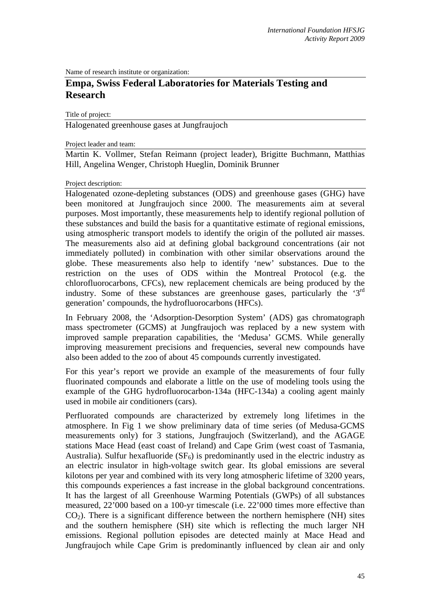Name of research institute or organization:

# **Empa, Swiss Federal Laboratories for Materials Testing and Research**

Title of project:

Halogenated greenhouse gases at Jungfraujoch

Project leader and team:

Martin K. Vollmer, Stefan Reimann (project leader), Brigitte Buchmann, Matthias Hill, Angelina Wenger, Christoph Hueglin, Dominik Brunner

#### Project description:

Halogenated ozone-depleting substances (ODS) and greenhouse gases (GHG) have been monitored at Jungfraujoch since 2000. The measurements aim at several purposes. Most importantly, these measurements help to identify regional pollution of these substances and build the basis for a quantitative estimate of regional emissions, using atmospheric transport models to identify the origin of the polluted air masses. The measurements also aid at defining global background concentrations (air not immediately polluted) in combination with other similar observations around the globe. These measurements also help to identify 'new' substances. Due to the restriction on the uses of ODS within the Montreal Protocol (e.g. the chlorofluorocarbons, CFCs), new replacement chemicals are being produced by the industry. Some of these substances are greenhouse gases, particularly the '3<sup>rd</sup> generation' compounds, the hydrofluorocarbons (HFCs).

In February 2008, the 'Adsorption-Desorption System' (ADS) gas chromatograph mass spectrometer (GCMS) at Jungfraujoch was replaced by a new system with improved sample preparation capabilities, the 'Medusa' GCMS. While generally improving measurement precisions and frequencies, several new compounds have also been added to the zoo of about 45 compounds currently investigated.

For this year's report we provide an example of the measurements of four fully fluorinated compounds and elaborate a little on the use of modeling tools using the example of the GHG hydrofluorocarbon-134a (HFC-134a) a cooling agent mainly used in mobile air conditioners (cars).

Perfluorated compounds are characterized by extremely long lifetimes in the atmosphere. In Fig 1 we show preliminary data of time series (of Medusa-GCMS measurements only) for 3 stations, Jungfraujoch (Switzerland), and the AGAGE stations Mace Head (east coast of Ireland) and Cape Grim (west coast of Tasmania, Australia). Sulfur hexafluoride  $(SF_6)$  is predominantly used in the electric industry as an electric insulator in high-voltage switch gear. Its global emissions are several kilotons per year and combined with its very long atmospheric lifetime of 3200 years, this compounds experiences a fast increase in the global background concentrations. It has the largest of all Greenhouse Warming Potentials (GWPs) of all substances measured, 22'000 based on a 100-yr timescale (i.e. 22'000 times more effective than  $CO<sub>2</sub>$ ). There is a significant difference between the northern hemisphere (NH) sites and the southern hemisphere (SH) site which is reflecting the much larger NH emissions. Regional pollution episodes are detected mainly at Mace Head and Jungfraujoch while Cape Grim is predominantly influenced by clean air and only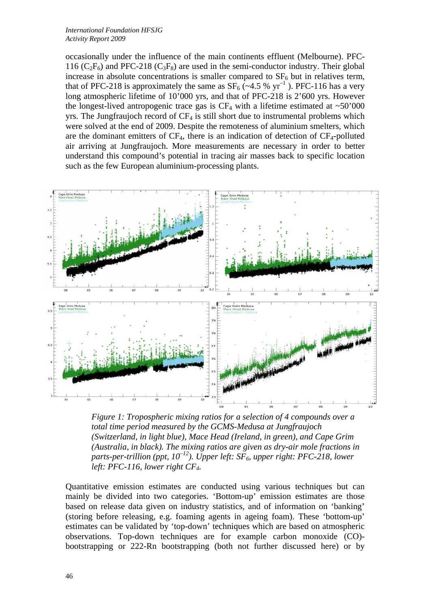*International Foundation HFSJG Activity Report 2009*

occasionally under the influence of the main continents effluent (Melbourne). PFC-116 ( $C_2F_6$ ) and PFC-218 ( $C_3F_8$ ) are used in the semi-conductor industry. Their global increase in absolute concentrations is smaller compared to  $SF<sub>6</sub>$  but in relatives term, that of PFC-218 is approximately the same as  $SF_6$  (~4.5 % yr<sup>-1</sup>). PFC-116 has a very long atmospheric lifetime of 10'000 yrs, and that of PFC-218 is 2'600 yrs. However the longest-lived antropogenic trace gas is  $CF_4$  with a lifetime estimated at  $~50'000$ yrs. The Jungfraujoch record of  $CF_4$  is still short due to instrumental problems which were solved at the end of 2009. Despite the remoteness of aluminium smelters, which are the dominant emitters of  $CF_4$ , there is an indication of detection of  $CF_4$ -polluted air arriving at Jungfraujoch. More measurements are necessary in order to better understand this compound's potential in tracing air masses back to specific location such as the few European aluminium-processing plants.



*Figure 1: Tropospheric mixing ratios for a selection of 4 compounds over a total time period measured by the GCMS-Medusa at Jungfraujoch (Switzerland, in light blue), Mace Head (Ireland, in green), and Cape Grim (Australia, in black). The mixing ratios are given as dry-air mole fractions in parts-per-trillion (ppt, 10<sup>-12</sup>). Upper left: SF<sub>6</sub>, upper right: PFC-218, lower left: PFC-116, lower right CF4.* 

Quantitative emission estimates are conducted using various techniques but can mainly be divided into two categories. 'Bottom-up' emission estimates are those based on release data given on industry statistics, and of information on 'banking' (storing before releasing, e.g. foaming agents in ageing foam). These 'bottom-up' estimates can be validated by 'top-down' techniques which are based on atmospheric observations. Top-down techniques are for example carbon monoxide (CO) bootstrapping or 222-Rn bootstrapping (both not further discussed here) or by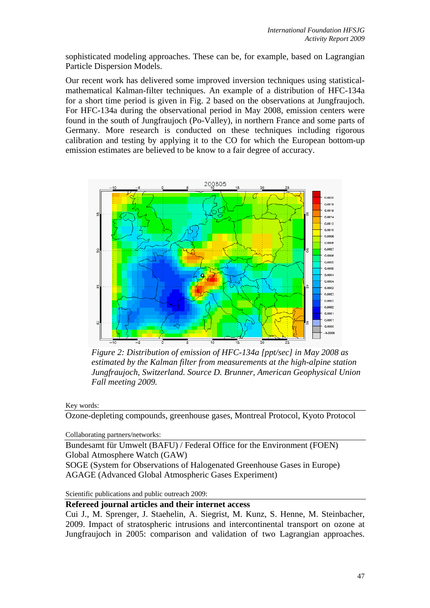sophisticated modeling approaches. These can be, for example, based on Lagrangian Particle Dispersion Models.

Our recent work has delivered some improved inversion techniques using statisticalmathematical Kalman-filter techniques. An example of a distribution of HFC-134a for a short time period is given in Fig. 2 based on the observations at Jungfraujoch. For HFC-134a during the observational period in May 2008, emission centers were found in the south of Jungfraujoch (Po-Valley), in northern France and some parts of Germany. More research is conducted on these techniques including rigorous calibration and testing by applying it to the CO for which the European bottom-up emission estimates are believed to be know to a fair degree of accuracy.



*Figure 2: Distribution of emission of HFC-134a [ppt/sec] in May 2008 as estimated by the Kalman filter from measurements at the high-alpine station Jungfraujoch, Switzerland. Source D. Brunner, American Geophysical Union Fall meeting 2009.* 

Key words:

Ozone-depleting compounds, greenhouse gases, Montreal Protocol, Kyoto Protocol

Collaborating partners/networks:

Bundesamt für Umwelt (BAFU) / Federal Office for the Environment (FOEN) Global Atmosphere Watch (GAW)

SOGE (System for Observations of Halogenated Greenhouse Gases in Europe) AGAGE (Advanced Global Atmospheric Gases Experiment)

Scientific publications and public outreach 2009:

**Refereed journal articles and their internet access** 

Cui J., M. Sprenger, J. Staehelin, A. Siegrist, M. Kunz, S. Henne, M. Steinbacher, 2009. Impact of stratospheric intrusions and intercontinental transport on ozone at Jungfraujoch in 2005: comparison and validation of two Lagrangian approaches.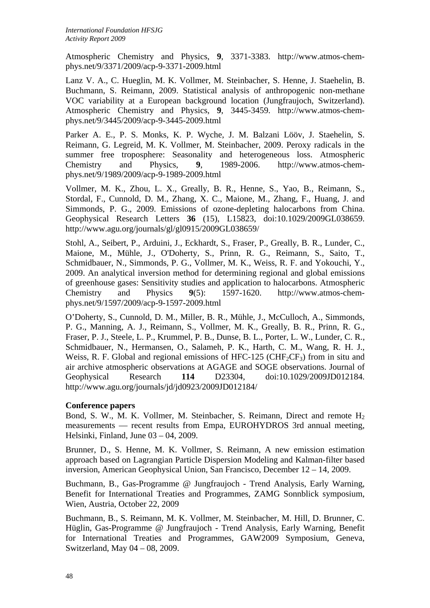Atmospheric Chemistry and Physics, **9**, 3371-3383. http://www.atmos-chemphys.net/9/3371/2009/acp-9-3371-2009.html

Lanz V. A., C. Hueglin, M. K. Vollmer, M. Steinbacher, S. Henne, J. Staehelin, B. Buchmann, S. Reimann, 2009. Statistical analysis of anthropogenic non-methane VOC variability at a European background location (Jungfraujoch, Switzerland). Atmospheric Chemistry and Physics, **9**, 3445-3459. http://www.atmos-chemphys.net/9/3445/2009/acp-9-3445-2009.html

Parker A. E., P. S. Monks, K. P. Wyche, J. M. Balzani Lööv, J. Staehelin, S. Reimann, G. Legreid, M. K. Vollmer, M. Steinbacher, 2009. Peroxy radicals in the summer free troposphere: Seasonality and heterogeneous loss. Atmospheric Chemistry and Physics, **9**, 1989-2006. http://www.atmos-chemphys.net/9/1989/2009/acp-9-1989-2009.html

Vollmer, M. K., Zhou, L. X., Greally, B. R., Henne, S., Yao, B., Reimann, S., Stordal, F., Cunnold, D. M., Zhang, X. C., Maione, M., Zhang, F., Huang, J. and Simmonds, P. G., 2009. Emissions of ozone-depleting halocarbons from China. Geophysical Research Letters **36** (15), L15823, doi:10.1029/2009GL038659. http://www.agu.org/journals/gl/gl0915/2009GL038659/

Stohl, A., Seibert, P., Arduini, J., Eckhardt, S., Fraser, P., Greally, B. R., Lunder, C., Maione, M., Mühle, J., O'Doherty, S., Prinn, R. G., Reimann, S., Saito, T., Schmidbauer, N., Simmonds, P. G., Vollmer, M. K., Weiss, R. F. and Yokouchi, Y., 2009. An analytical inversion method for determining regional and global emissions of greenhouse gases: Sensitivity studies and application to halocarbons. Atmospheric Chemistry and Physics **9**(5): 1597-1620. http://www.atmos-chemphys.net/9/1597/2009/acp-9-1597-2009.html

O'Doherty, S., Cunnold, D. M., Miller, B. R., Mühle, J., McCulloch, A., Simmonds, P. G., Manning, A. J., Reimann, S., Vollmer, M. K., Greally, B. R., Prinn, R. G., Fraser, P. J., Steele, L. P., Krummel, P. B., Dunse, B. L., Porter, L. W., Lunder, C. R., Schmidbauer, N., Hermansen, O., Salameh, P. K., Harth, C. M., Wang, R. H. J., Weiss, R. F. Global and regional emissions of HFC-125 ( $CHF<sub>2</sub>CF<sub>3</sub>$ ) from in situ and air archive atmospheric observations at AGAGE and SOGE observations. Journal of Geophysical Research **114** D23304, doi:10.1029/2009JD012184. http://www.agu.org/journals/jd/jd0923/2009JD012184/

#### **Conference papers**

Bond, S. W., M. K. Vollmer, M. Steinbacher, S. Reimann, Direct and remote  $H_2$ measurements — recent results from Empa, EUROHYDROS 3rd annual meeting, Helsinki, Finland, June 03 – 04, 2009.

Brunner, D., S. Henne, M. K. Vollmer, S. Reimann, A new emission estimation approach based on Lagrangian Particle Dispersion Modeling and Kalman-filter based inversion, American Geophysical Union, San Francisco, December 12 – 14, 2009.

Buchmann, B., Gas-Programme @ Jungfraujoch - Trend Analysis, Early Warning, Benefit for International Treaties and Programmes, ZAMG Sonnblick symposium, Wien, Austria, October 22, 2009

Buchmann, B., S. Reimann, M. K. Vollmer, M. Steinbacher, M. Hill, D. Brunner, C. Hüglin, Gas-Programme @ Jungfraujoch - Trend Analysis, Early Warning, Benefit for International Treaties and Programmes, GAW2009 Symposium, Geneva, Switzerland, May 04 – 08, 2009.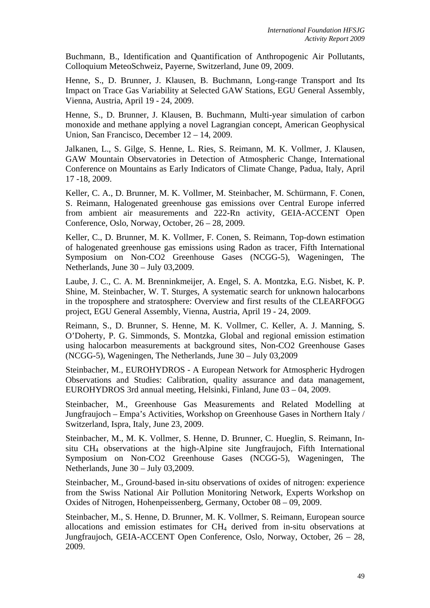Buchmann, B., Identification and Quantification of Anthropogenic Air Pollutants, Colloquium MeteoSchweiz, Payerne, Switzerland, June 09, 2009.

Henne, S., D. Brunner, J. Klausen, B. Buchmann, Long-range Transport and Its Impact on Trace Gas Variability at Selected GAW Stations, EGU General Assembly, Vienna, Austria, April 19 - 24, 2009.

Henne, S., D. Brunner, J. Klausen, B. Buchmann, Multi-year simulation of carbon monoxide and methane applying a novel Lagrangian concept, American Geophysical Union, San Francisco, December 12 – 14, 2009.

Jalkanen, L., S. Gilge, S. Henne, L. Ries, S. Reimann, M. K. Vollmer, J. Klausen, GAW Mountain Observatories in Detection of Atmospheric Change, International Conference on Mountains as Early Indicators of Climate Change, Padua, Italy, April 17 -18, 2009.

Keller, C. A., D. Brunner, M. K. Vollmer, M. Steinbacher, M. Schürmann, F. Conen, S. Reimann, Halogenated greenhouse gas emissions over Central Europe inferred from ambient air measurements and 222-Rn activity, GEIA-ACCENT Open Conference, Oslo, Norway, October, 26 – 28, 2009.

Keller, C., D. Brunner, M. K. Vollmer, F. Conen, S. Reimann, Top-down estimation of halogenated greenhouse gas emissions using Radon as tracer, Fifth International Symposium on Non-CO2 Greenhouse Gases (NCGG-5), Wageningen, The Netherlands, June 30 – July 03,2009.

Laube, J. C., C. A. M. Brenninkmeijer, A. Engel, S. A. Montzka, E.G. Nisbet, K. P. Shine, M. Steinbacher, W. T. Sturges, A systematic search for unknown halocarbons in the troposphere and stratosphere: Overview and first results of the CLEARFOGG project, EGU General Assembly, Vienna, Austria, April 19 - 24, 2009.

Reimann, S., D. Brunner, S. Henne, M. K. Vollmer, C. Keller, A. J. Manning, S. O'Doherty, P. G. Simmonds, S. Montzka, Global and regional emission estimation using halocarbon measurements at background sites, Non-CO2 Greenhouse Gases (NCGG-5), Wageningen, The Netherlands, June 30 – July 03,2009

Steinbacher, M., EUROHYDROS - A European Network for Atmospheric Hydrogen Observations and Studies: Calibration, quality assurance and data management, EUROHYDROS 3rd annual meeting, Helsinki, Finland, June 03 – 04, 2009.

Steinbacher, M., Greenhouse Gas Measurements and Related Modelling at Jungfraujoch – Empa's Activities, Workshop on Greenhouse Gases in Northern Italy / Switzerland, Ispra, Italy, June 23, 2009.

Steinbacher, M., M. K. Vollmer, S. Henne, D. Brunner, C. Hueglin, S. Reimann, Insitu CH4 observations at the high-Alpine site Jungfraujoch, Fifth International Symposium on Non-CO2 Greenhouse Gases (NCGG-5), Wageningen, The Netherlands, June 30 – July 03,2009.

Steinbacher, M., Ground-based in-situ observations of oxides of nitrogen: experience from the Swiss National Air Pollution Monitoring Network, Experts Workshop on Oxides of Nitrogen, Hohenpeissenberg, Germany, October 08 – 09, 2009.

Steinbacher, M., S. Henne, D. Brunner, M. K. Vollmer, S. Reimann, European source allocations and emission estimates for CH4 derived from in-situ observations at Jungfraujoch, GEIA-ACCENT Open Conference, Oslo, Norway, October, 26 – 28, 2009.